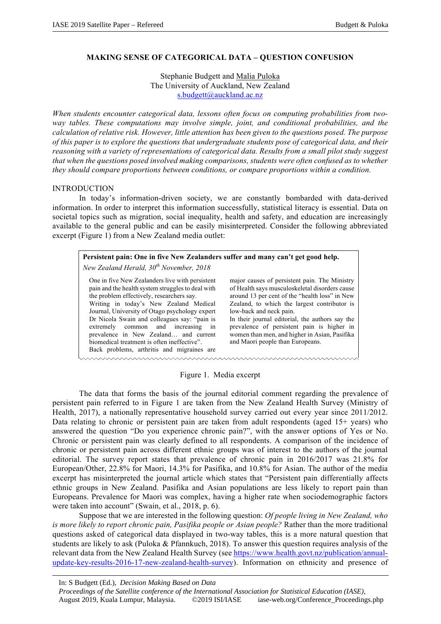# **MAKING SENSE OF CATEGORICAL DATA – QUESTION CONFUSION**

Stephanie Budgett and Malia Puloka The University of Auckland, New Zealand s.budgett@auckland.ac.nz

*When students encounter categorical data, lessons often focus on computing probabilities from twoway tables. These computations may involve simple, joint, and conditional probabilities, and the calculation of relative risk. However, little attention has been given to the questions posed. The purpose of this paper is to explore the questions that undergraduate students pose of categorical data, and their reasoning with a variety of representations of categorical data. Results from a small pilot study suggest that when the questions posed involved making comparisons, students were often confused as to whether they should compare proportions between conditions, or compare proportions within a condition.* 

## INTRODUCTION

In today's information-driven society, we are constantly bombarded with data-derived information. In order to interpret this information successfully, statistical literacy is essential. Data on societal topics such as migration, social inequality, health and safety, and education are increasingly available to the general public and can be easily misinterpreted. Consider the following abbreviated excerpt (Figure 1) from a New Zealand media outlet:

| Persistent pain: One in five New Zealanders suffer and many can't get good help.<br>New Zealand Herald, 30 <sup>th</sup> November, 2018                                                                                                                                                                                                                                                                                                                                      |                                                                                                                                                                                                                                                                                                                                                                                                                    |  |  |  |
|------------------------------------------------------------------------------------------------------------------------------------------------------------------------------------------------------------------------------------------------------------------------------------------------------------------------------------------------------------------------------------------------------------------------------------------------------------------------------|--------------------------------------------------------------------------------------------------------------------------------------------------------------------------------------------------------------------------------------------------------------------------------------------------------------------------------------------------------------------------------------------------------------------|--|--|--|
| One in five New Zealanders live with persistent<br>pain and the health system struggles to deal with<br>the problem effectively, researchers say.<br>Writing in today's New Zealand Medical<br>Journal, University of Otago psychology expert<br>Dr Nicola Swain and colleagues say: "pain is<br>extremely common and increasing<br>1n<br>prevalence in New Zealand and current<br>biomedical treatment is often ineffective".<br>Back problems, arthritis and migraines are | major causes of persistent pain. The Ministry<br>of Health says musculoskeletal disorders cause<br>around 13 per cent of the "health loss" in New<br>Zealand, to which the largest contributor is<br>low-back and neck pain.<br>In their journal editorial, the authors say the<br>prevalence of persistent pain is higher in<br>women than men, and higher in Asian, Pasifika<br>and Maori people than Europeans. |  |  |  |
|                                                                                                                                                                                                                                                                                                                                                                                                                                                                              |                                                                                                                                                                                                                                                                                                                                                                                                                    |  |  |  |

Figure 1. Media excerpt

The data that forms the basis of the journal editorial comment regarding the prevalence of persistent pain referred to in Figure 1 are taken from the New Zealand Health Survey (Ministry of Health, 2017), a nationally representative household survey carried out every year since 2011/2012. Data relating to chronic or persistent pain are taken from adult respondents (aged  $15+$  years) who answered the question "Do you experience chronic pain?", with the answer options of Yes or No. Chronic or persistent pain was clearly defined to all respondents. A comparison of the incidence of chronic or persistent pain across different ethnic groups was of interest to the authors of the journal editorial. The survey report states that prevalence of chronic pain in 2016/2017 was 21.8% for European/Other, 22.8% for Maori, 14.3% for Pasifika, and 10.8% for Asian. The author of the media excerpt has misinterpreted the journal article which states that "Persistent pain differentially affects ethnic groups in New Zealand. Pasifika and Asian populations are less likely to report pain than Europeans. Prevalence for Maori was complex, having a higher rate when sociodemographic factors were taken into account" (Swain, et al., 2018, p. 6).

Suppose that we are interested in the following question: *Of people living in New Zealand, who is more likely to report chronic pain, Pasifika people or Asian people?* Rather than the more traditional questions asked of categorical data displayed in two-way tables, this is a more natural question that students are likely to ask (Puloka & Pfannkuch, 2018). To answer this question requires analysis of the relevant data from the New Zealand Health Survey (see https://www.health.govt.nz/publication/annualupdate-key-results-2016-17-new-zealand-health-survey). Information on ethnicity and presence of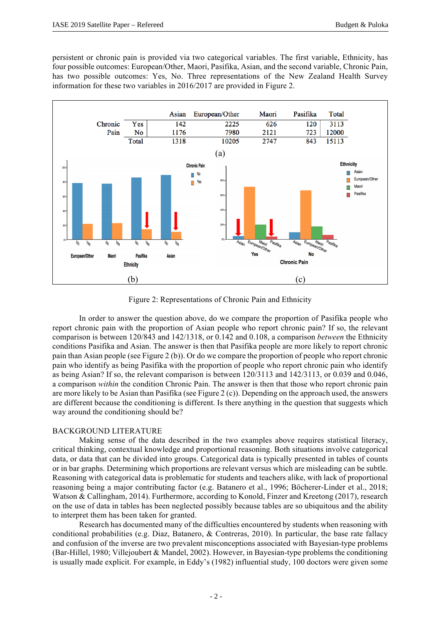persistent or chronic pain is provided via two categorical variables. The first variable, Ethnicity, has four possible outcomes: European/Other, Maori, Pasifika, Asian, and the second variable, Chronic Pain, has two possible outcomes: Yes, No. Three representations of the New Zealand Health Survey information for these two variables in 2016/2017 are provided in Figure 2.



Figure 2: Representations of Chronic Pain and Ethnicity

In order to answer the question above, do we compare the proportion of Pasifika people who report chronic pain with the proportion of Asian people who report chronic pain? If so, the relevant comparison is between 120/843 and 142/1318, or 0.142 and 0.108, a comparison *between* the Ethnicity conditions Pasifika and Asian. The answer is then that Pasifika people are more likely to report chronic pain than Asian people (see Figure 2 (b)). Or do we compare the proportion of people who report chronic pain who identify as being Pasifika with the proportion of people who report chronic pain who identify as being Asian? If so, the relevant comparison is between 120/3113 and 142/3113, or 0.039 and 0.046, a comparison *within* the condition Chronic Pain. The answer is then that those who report chronic pain are more likely to be Asian than Pasifika (see Figure 2 (c)). Depending on the approach used, the answers are different because the conditioning is different. Is there anything in the question that suggests which way around the conditioning should be?

# BACKGROUND LITERATURE

Making sense of the data described in the two examples above requires statistical literacy, critical thinking, contextual knowledge and proportional reasoning. Both situations involve categorical data, or data that can be divided into groups. Categorical data is typically presented in tables of counts or in bar graphs. Determining which proportions are relevant versus which are misleading can be subtle. Reasoning with categorical data is problematic for students and teachers alike, with lack of proportional reasoning being a major contributing factor (e.g. Batanero et al., 1996; Böcherer-Linder et al., 2018; Watson & Callingham, 2014). Furthermore, according to Konold, Finzer and Kreetong (2017), research on the use of data in tables has been neglected possibly because tables are so ubiquitous and the ability to interpret them has been taken for granted.

Research has documented many of the difficulties encountered by students when reasoning with conditional probabilities (e.g. Diaz, Batanero, & Contreras, 2010). In particular, the base rate fallacy and confusion of the inverse are two prevalent misconceptions associated with Bayesian-type problems (Bar-Hillel, 1980; Villejoubert & Mandel, 2002). However, in Bayesian-type problems the conditioning is usually made explicit. For example, in Eddy's (1982) influential study, 100 doctors were given some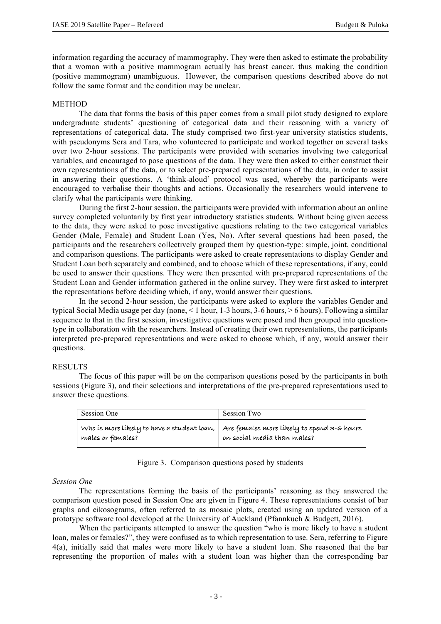information regarding the accuracy of mammography. They were then asked to estimate the probability that a woman with a positive mammogram actually has breast cancer, thus making the condition (positive mammogram) unambiguous. However, the comparison questions described above do not follow the same format and the condition may be unclear.

### **METHOD**

The data that forms the basis of this paper comes from a small pilot study designed to explore undergraduate students' questioning of categorical data and their reasoning with a variety of representations of categorical data. The study comprised two first-year university statistics students, with pseudonyms Sera and Tara, who volunteered to participate and worked together on several tasks over two 2-hour sessions. The participants were provided with scenarios involving two categorical variables, and encouraged to pose questions of the data. They were then asked to either construct their own representations of the data, or to select pre-prepared representations of the data, in order to assist in answering their questions. A 'think-aloud' protocol was used, whereby the participants were encouraged to verbalise their thoughts and actions. Occasionally the researchers would intervene to clarify what the participants were thinking.

During the first 2-hour session, the participants were provided with information about an online survey completed voluntarily by first year introductory statistics students. Without being given access to the data, they were asked to pose investigative questions relating to the two categorical variables Gender (Male, Female) and Student Loan (Yes, No). After several questions had been posed, the participants and the researchers collectively grouped them by question-type: simple, joint, conditional and comparison questions. The participants were asked to create representations to display Gender and Student Loan both separately and combined, and to choose which of these representations, if any, could be used to answer their questions. They were then presented with pre-prepared representations of the Student Loan and Gender information gathered in the online survey. They were first asked to interpret the representations before deciding which, if any, would answer their questions.

In the second 2-hour session, the participants were asked to explore the variables Gender and typical Social Media usage per day (none, < 1 hour, 1-3 hours, 3-6 hours, > 6 hours). Following a similar sequence to that in the first session, investigative questions were posed and then grouped into questiontype in collaboration with the researchers. Instead of creating their own representations, the participants interpreted pre-prepared representations and were asked to choose which, if any, would answer their questions.

#### RESULTS

The focus of this paper will be on the comparison questions posed by the participants in both sessions (Figure 3), and their selections and interpretations of the pre-prepared representations used to answer these questions.

| Session One       | Session Two                                                                                                            |
|-------------------|------------------------------------------------------------------------------------------------------------------------|
| males or females? | Who is more likely to have a student loan,   Are females more likely to spend 3-6 hours<br>on social media than males? |

## Figure 3. Comparison questions posed by students

#### *Session One*

The representations forming the basis of the participants' reasoning as they answered the comparison question posed in Session One are given in Figure 4. These representations consist of bar graphs and eikosograms, often referred to as mosaic plots, created using an updated version of a prototype software tool developed at the University of Auckland (Pfannkuch & Budgett, 2016).

When the participants attempted to answer the question "who is more likely to have a student loan, males or females?", they were confused as to which representation to use. Sera, referring to Figure 4(a), initially said that males were more likely to have a student loan. She reasoned that the bar representing the proportion of males with a student loan was higher than the corresponding bar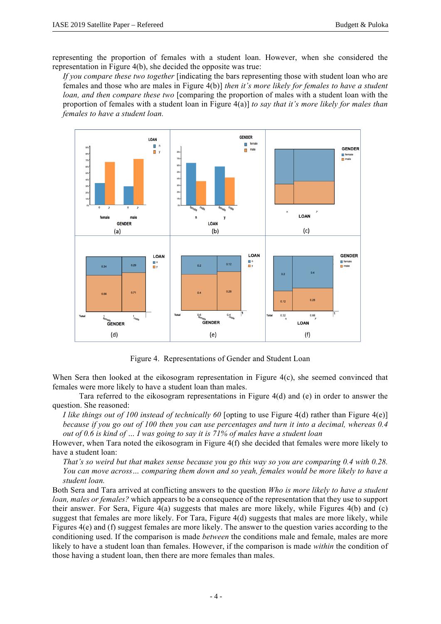representing the proportion of females with a student loan. However, when she considered the representation in Figure 4(b), she decided the opposite was true:

*If you compare these two together* [indicating the bars representing those with student loan who are females and those who are males in Figure 4(b)] *then it's more likely for females to have a student loan, and then compare these two* [comparing the proportion of males with a student loan with the proportion of females with a student loan in Figure 4(a)] *to say that it's more likely for males than females to have a student loan.*



Figure 4. Representations of Gender and Student Loan

When Sera then looked at the eikosogram representation in Figure 4(c), she seemed convinced that females were more likely to have a student loan than males.

Tara referred to the eikosogram representations in Figure 4(d) and (e) in order to answer the question. She reasoned:

*I like things out of 100 instead of technically 60* [opting to use Figure 4(d) rather than Figure 4(e)] *because if you go out of 100 then you can use percentages and turn it into a decimal, whereas 0.4 out of 0.6 is kind of … I was going to say it is 71% of males have a student loan*

However, when Tara noted the eikosogram in Figure 4(f) she decided that females were more likely to have a student loan:

*That's so weird but that makes sense because you go this way so you are comparing 0.4 with 0.28. You can move across… comparing them down and so yeah, females would be more likely to have a student loan.*

Both Sera and Tara arrived at conflicting answers to the question *Who is more likely to have a student loan, males or females?* which appears to be a consequence of the representation that they use to support their answer. For Sera, Figure 4(a) suggests that males are more likely, while Figures 4(b) and (c) suggest that females are more likely. For Tara, Figure 4(d) suggests that males are more likely, while Figures 4(e) and (f) suggest females are more likely. The answer to the question varies according to the conditioning used. If the comparison is made *between* the conditions male and female, males are more likely to have a student loan than females. However, if the comparison is made *within* the condition of those having a student loan, then there are more females than males.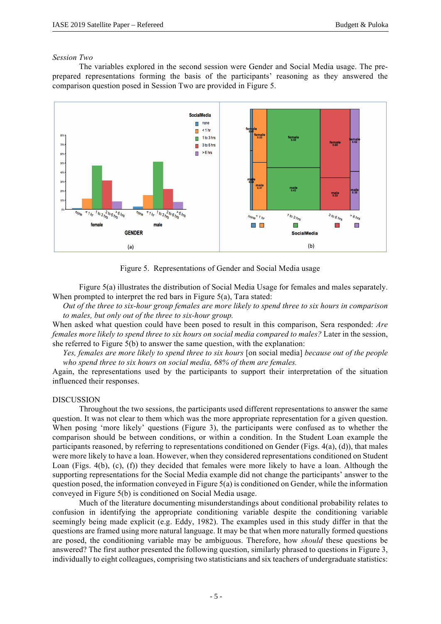## *Session Two*

The variables explored in the second session were Gender and Social Media usage. The preprepared representations forming the basis of the participants' reasoning as they answered the comparison question posed in Session Two are provided in Figure 5.



Figure 5. Representations of Gender and Social Media usage

Figure 5(a) illustrates the distribution of Social Media Usage for females and males separately. When prompted to interpret the red bars in Figure 5(a), Tara stated:

*Out of the three to six-hour group females are more likely to spend three to six hours in comparison to males, but only out of the three to six-hour group.*

When asked what question could have been posed to result in this comparison, Sera responded: *Are females more likely to spend three to six hours on social media compared to males?* Later in the session, she referred to Figure 5(b) to answer the same question, with the explanation:

*Yes, females are more likely to spend three to six hours* [on social media] *because out of the people who spend three to six hours on social media, 68% of them are females.*

Again, the representations used by the participants to support their interpretation of the situation influenced their responses.

### DISCUSSION

Throughout the two sessions, the participants used different representations to answer the same question. It was not clear to them which was the more appropriate representation for a given question. When posing 'more likely' questions (Figure 3), the participants were confused as to whether the comparison should be between conditions, or within a condition. In the Student Loan example the participants reasoned, by referring to representations conditioned on Gender (Figs. 4(a), (d)), that males were more likely to have a loan. However, when they considered representations conditioned on Student Loan (Figs. 4(b), (c), (f)) they decided that females were more likely to have a loan. Although the supporting representations for the Social Media example did not change the participants' answer to the question posed, the information conveyed in Figure 5(a) is conditioned on Gender, while the information conveyed in Figure 5(b) is conditioned on Social Media usage.

Much of the literature documenting misunderstandings about conditional probability relates to confusion in identifying the appropriate conditioning variable despite the conditioning variable seemingly being made explicit (e.g. Eddy, 1982). The examples used in this study differ in that the questions are framed using more natural language. It may be that when more naturally formed questions are posed, the conditioning variable may be ambiguous. Therefore, how *should* these questions be answered? The first author presented the following question, similarly phrased to questions in Figure 3, individually to eight colleagues, comprising two statisticians and six teachers of undergraduate statistics: